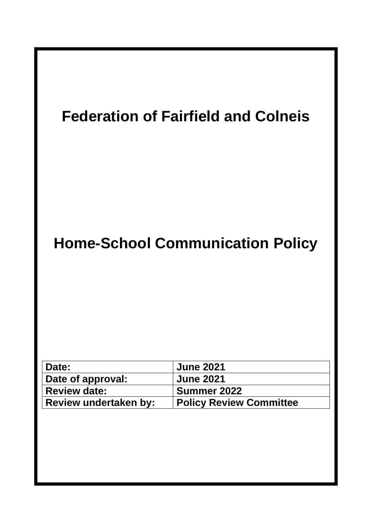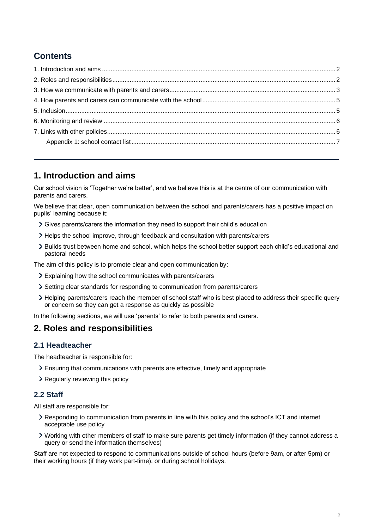# **Contents**

# **1. Introduction and aims**

Our school vision is 'Together we're better', and we believe this is at the centre of our communication with parents and carers.

We believe that clear, open communication between the school and parents/carers has a positive impact on pupils' learning because it:

- Gives parents/carers the information they need to support their child's education
- Helps the school improve, through feedback and consultation with parents/carers
- Builds trust between home and school, which helps the school better support each child's educational and pastoral needs

The aim of this policy is to promote clear and open communication by:

- Explaining how the school communicates with parents/carers
- Setting clear standards for responding to communication from parents/carers
- Helping parents/carers reach the member of school staff who is best placed to address their specific query or concern so they can get a response as quickly as possible

In the following sections, we will use 'parents' to refer to both parents and carers.

## **2. Roles and responsibilities**

### **2.1 Headteacher**

The headteacher is responsible for:

- Ensuring that communications with parents are effective, timely and appropriate
- > Regularly reviewing this policy

#### **2.2 Staff**

All staff are responsible for:

- Responding to communication from parents in line with this policy and the school's ICT and internet acceptable use policy
- Working with other members of staff to make sure parents get timely information (if they cannot address a query or send the information themselves)

Staff are not expected to respond to communications outside of school hours (before 9am, or after 5pm) or their working hours (if they work part-time), or during school holidays.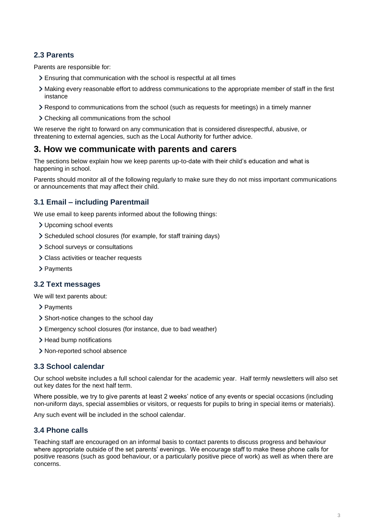## **2.3 Parents**

Parents are responsible for:

- Ensuring that communication with the school is respectful at all times
- Making every reasonable effort to address communications to the appropriate member of staff in the first instance
- Respond to communications from the school (such as requests for meetings) in a timely manner
- Checking all communications from the school

We reserve the right to forward on any communication that is considered disrespectful, abusive, or threatening to external agencies, such as the Local Authority for further advice.

## **3. How we communicate with parents and carers**

The sections below explain how we keep parents up-to-date with their child's education and what is happening in school.

Parents should monitor all of the following regularly to make sure they do not miss important communications or announcements that may affect their child.

## **3.1 Email – including Parentmail**

We use email to keep parents informed about the following things:

- Upcoming school events
- Scheduled school closures (for example, for staff training days)
- > School surveys or consultations
- Class activities or teacher requests
- > Payments

### **3.2 Text messages**

We will text parents about:

- > Payments
- > Short-notice changes to the school day
- Emergency school closures (for instance, due to bad weather)
- > Head bump notifications
- > Non-reported school absence

### **3.3 School calendar**

Our school website includes a full school calendar for the academic year. Half termly newsletters will also set out key dates for the next half term.

Where possible, we try to give parents at least 2 weeks' notice of any events or special occasions (including non-uniform days, special assemblies or visitors, or requests for pupils to bring in special items or materials).

Any such event will be included in the school calendar.

### **3.4 Phone calls**

Teaching staff are encouraged on an informal basis to contact parents to discuss progress and behaviour where appropriate outside of the set parents' evenings. We encourage staff to make these phone calls for positive reasons (such as good behaviour, or a particularly positive piece of work) as well as when there are concerns.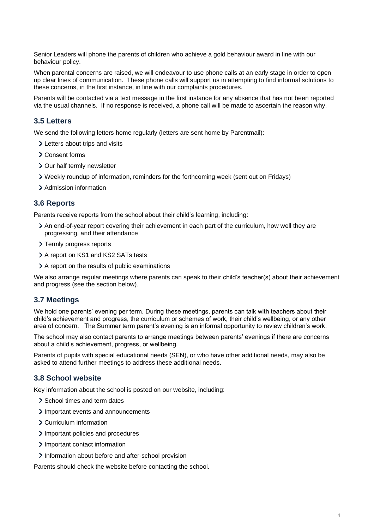Senior Leaders will phone the parents of children who achieve a gold behaviour award in line with our behaviour policy.

When parental concerns are raised, we will endeavour to use phone calls at an early stage in order to open up clear lines of communication. These phone calls will support us in attempting to find informal solutions to these concerns, in the first instance, in line with our complaints procedures.

Parents will be contacted via a text message in the first instance for any absence that has not been reported via the usual channels. If no response is received, a phone call will be made to ascertain the reason why.

### **3.5 Letters**

We send the following letters home regularly (letters are sent home by Parentmail):

- Letters about trips and visits
- Consent forms
- > Our half termly newsletter
- Weekly roundup of information, reminders for the forthcoming week (sent out on Fridays)
- > Admission information

#### **3.6 Reports**

Parents receive reports from the school about their child's learning, including:

- An end-of-year report covering their achievement in each part of the curriculum, how well they are progressing, and their attendance
- > Termly progress reports
- > A report on KS1 and KS2 SATs tests
- A report on the results of public examinations

We also arrange regular meetings where parents can speak to their child's teacher(s) about their achievement and progress (see the section below).

#### **3.7 Meetings**

We hold one parents' evening per term. During these meetings, parents can talk with teachers about their child's achievement and progress, the curriculum or schemes of work, their child's wellbeing, or any other area of concern. The Summer term parent's evening is an informal opportunity to review children's work.

The school may also contact parents to arrange meetings between parents' evenings if there are concerns about a child's achievement, progress, or wellbeing.

Parents of pupils with special educational needs (SEN), or who have other additional needs, may also be asked to attend further meetings to address these additional needs.

#### **3.8 School website**

Key information about the school is posted on our website, including:

- > School times and term dates
- > Important events and announcements
- Curriculum information
- > Important policies and procedures
- > Important contact information
- Information about before and after-school provision

Parents should check the website before contacting the school.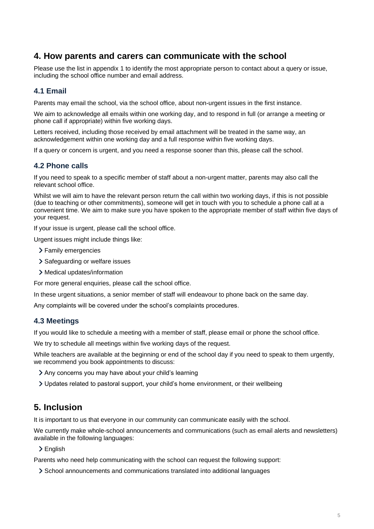# **4. How parents and carers can communicate with the school**

Please use the list in appendix 1 to identify the most appropriate person to contact about a query or issue, including the school office number and email address.

## **4.1 Email**

Parents may email the school, via the school office, about non-urgent issues in the first instance.

We aim to acknowledge all emails within one working day, and to respond in full (or arrange a meeting or phone call if appropriate) within five working days.

Letters received, including those received by email attachment will be treated in the same way, an acknowledgement within one working day and a full response within five working days.

If a query or concern is urgent, and you need a response sooner than this, please call the school.

### **4.2 Phone calls**

If you need to speak to a specific member of staff about a non-urgent matter, parents may also call the relevant school office.

Whilst we will aim to have the relevant person return the call within two working days, if this is not possible (due to teaching or other commitments), someone will get in touch with you to schedule a phone call at a convenient time. We aim to make sure you have spoken to the appropriate member of staff within five days of your request.

If your issue is urgent, please call the school office.

Urgent issues might include things like:

- > Family emergencies
- > Safeguarding or welfare issues
- Medical updates/information

For more general enquiries, please call the school office.

In these urgent situations, a senior member of staff will endeavour to phone back on the same day.

Any complaints will be covered under the school's complaints procedures.

### **4.3 Meetings**

If you would like to schedule a meeting with a member of staff, please email or phone the school office.

We try to schedule all meetings within five working days of the request.

While teachers are available at the beginning or end of the school day if you need to speak to them urgently, we recommend you book appointments to discuss:

- Any concerns you may have about your child's learning
- Updates related to pastoral support, your child's home environment, or their wellbeing

# **5. Inclusion**

It is important to us that everyone in our community can communicate easily with the school.

We currently make whole-school announcements and communications (such as email alerts and newsletters) available in the following languages:

> English

Parents who need help communicating with the school can request the following support:

School announcements and communications translated into additional languages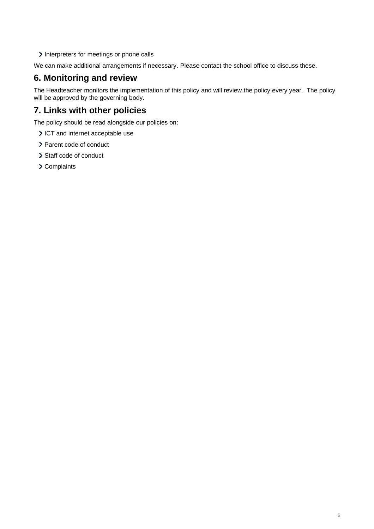Interpreters for meetings or phone calls

We can make additional arrangements if necessary. Please contact the school office to discuss these.

# **6. Monitoring and review**

The Headteacher monitors the implementation of this policy and will review the policy every year. The policy will be approved by the governing body.

# **7. Links with other policies**

The policy should be read alongside our policies on:

- > ICT and internet acceptable use
- > Parent code of conduct
- > Staff code of conduct
- > Complaints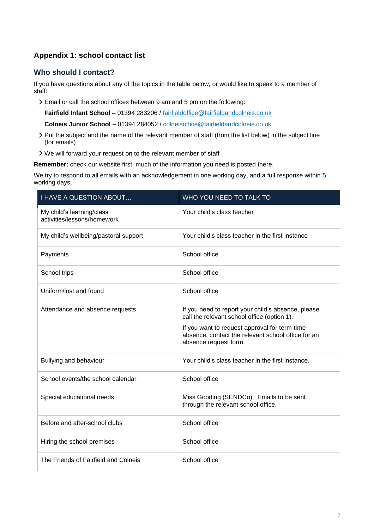## **Appendix 1: school contact list**

## **Who should I contact?**

If you have questions about any of the topics in the table below, or would like to speak to a member of staff:

Email or call the school offices between 9 am and 5 pm on the following:

**Fairfield Infant School** – 01394 283206 / [fairfieldoffice@fairfieldandcolneis.co.uk](mailto:fairfieldoffice@fairfieldandcolneis.co.uk)

**Colneis Junior School** – 01394 284052 / [colneisoffice@fairfieldandcolneis.co.uk](mailto:colneisoffice@fairfieldandcolneis.co.uk)

- Put the subject and the name of the relevant member of staff (from the list below) in the subject line (for emails)
- We will forward your request on to the relevant member of staff

**Remember:** check our website first, much of the information you need is posted there.

We try to respond to all emails with an acknowledgement in one working day, and a full response within 5 working days.

| I HAVE A QUESTION ABOUT                                  | WHO YOU NEED TO TALK TO                                                                                                                                                                                                           |
|----------------------------------------------------------|-----------------------------------------------------------------------------------------------------------------------------------------------------------------------------------------------------------------------------------|
| My child's learning/class<br>activities/lessons/homework | Your child's class teacher                                                                                                                                                                                                        |
| My child's wellbeing/pastoral support                    | Your child's class teacher in the first instance                                                                                                                                                                                  |
| Payments                                                 | School office                                                                                                                                                                                                                     |
| School trips                                             | School office                                                                                                                                                                                                                     |
| Uniform/lost and found                                   | School office                                                                                                                                                                                                                     |
| Attendance and absence requests                          | If you need to report your child's absence, please<br>call the relevant school office (option 1).<br>If you want to request approval for term-time<br>absence, contact the relevant school office for an<br>absence request form. |
| Bullying and behaviour                                   | Your child's class teacher in the first instance.                                                                                                                                                                                 |
| School events/the school calendar                        | School office                                                                                                                                                                                                                     |
| Special educational needs                                | Miss Gooding (SENDCo). Emails to be sent<br>through the relevant school office.                                                                                                                                                   |
| Before and after-school clubs                            | School office                                                                                                                                                                                                                     |
| Hiring the school premises                               | School office                                                                                                                                                                                                                     |
| The Friends of Fairfield and Colneis                     | School office                                                                                                                                                                                                                     |